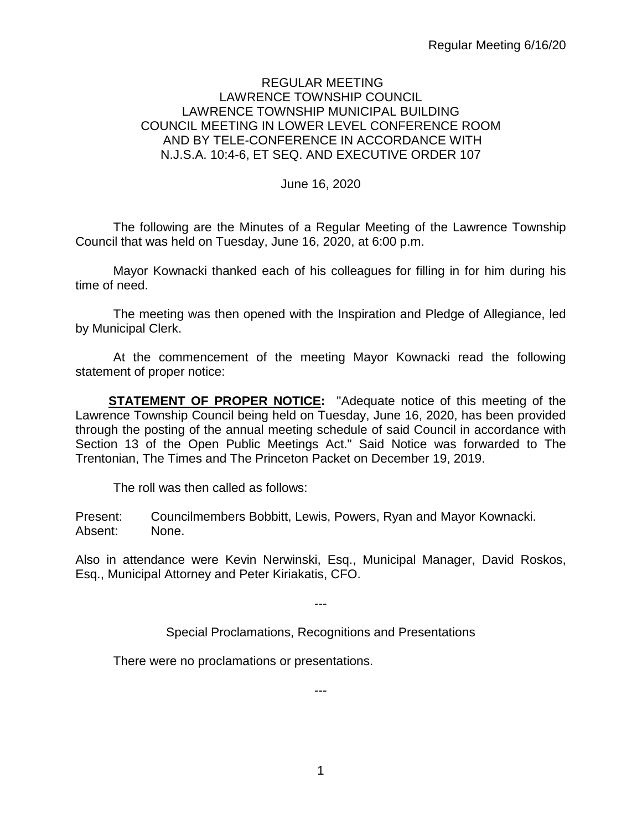## REGULAR MEETING LAWRENCE TOWNSHIP COUNCIL LAWRENCE TOWNSHIP MUNICIPAL BUILDING COUNCIL MEETING IN LOWER LEVEL CONFERENCE ROOM AND BY TELE-CONFERENCE IN ACCORDANCE WITH N.J.S.A. 10:4-6, ET SEQ. AND EXECUTIVE ORDER 107

June 16, 2020

The following are the Minutes of a Regular Meeting of the Lawrence Township Council that was held on Tuesday, June 16, 2020, at 6:00 p.m.

Mayor Kownacki thanked each of his colleagues for filling in for him during his time of need.

The meeting was then opened with the Inspiration and Pledge of Allegiance, led by Municipal Clerk.

At the commencement of the meeting Mayor Kownacki read the following statement of proper notice:

**STATEMENT OF PROPER NOTICE:** "Adequate notice of this meeting of the Lawrence Township Council being held on Tuesday, June 16, 2020, has been provided through the posting of the annual meeting schedule of said Council in accordance with Section 13 of the Open Public Meetings Act." Said Notice was forwarded to The Trentonian, The Times and The Princeton Packet on December 19, 2019.

The roll was then called as follows:

Present: Councilmembers Bobbitt, Lewis, Powers, Ryan and Mayor Kownacki. Absent: None.

Also in attendance were Kevin Nerwinski, Esq., Municipal Manager, David Roskos, Esq., Municipal Attorney and Peter Kiriakatis, CFO.

---

Special Proclamations, Recognitions and Presentations

---

There were no proclamations or presentations.

1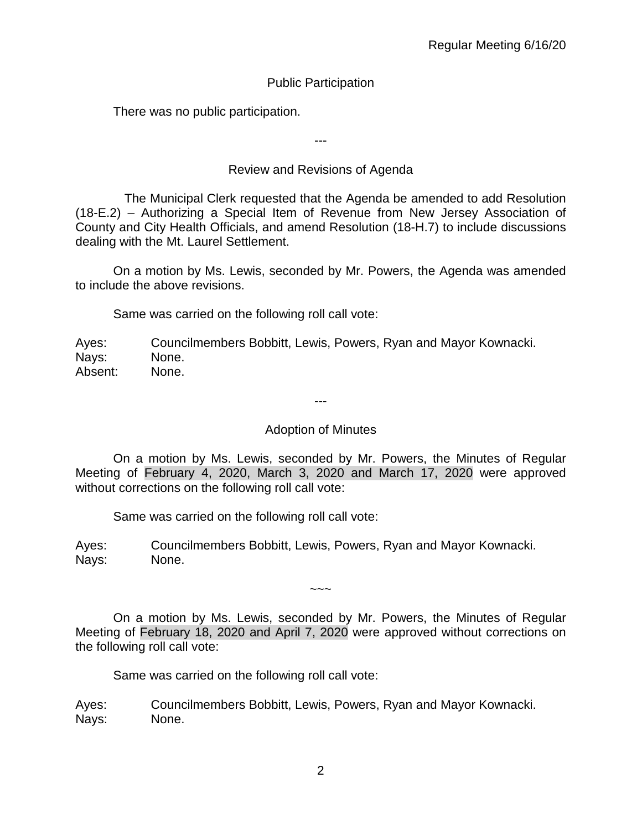# Public Participation

There was no public participation.

---

# Review and Revisions of Agenda

 The Municipal Clerk requested that the Agenda be amended to add Resolution (18-E.2) – Authorizing a Special Item of Revenue from New Jersey Association of County and City Health Officials, and amend Resolution (18-H.7) to include discussions dealing with the Mt. Laurel Settlement.

On a motion by Ms. Lewis, seconded by Mr. Powers, the Agenda was amended to include the above revisions.

Same was carried on the following roll call vote:

Ayes: Councilmembers Bobbitt, Lewis, Powers, Ryan and Mayor Kownacki. Nays: None. Absent: None.

---

## Adoption of Minutes

On a motion by Ms. Lewis, seconded by Mr. Powers, the Minutes of Regular Meeting of February 4, 2020, March 3, 2020 and March 17, 2020 were approved without corrections on the following roll call vote:

Same was carried on the following roll call vote:

Ayes: Councilmembers Bobbitt, Lewis, Powers, Ryan and Mayor Kownacki. Nays: None.

On a motion by Ms. Lewis, seconded by Mr. Powers, the Minutes of Regular Meeting of February 18, 2020 and April 7, 2020 were approved without corrections on the following roll call vote:

 $\sim$   $\sim$   $\sim$ 

Same was carried on the following roll call vote:

Ayes: Councilmembers Bobbitt, Lewis, Powers, Ryan and Mayor Kownacki. Nays: None.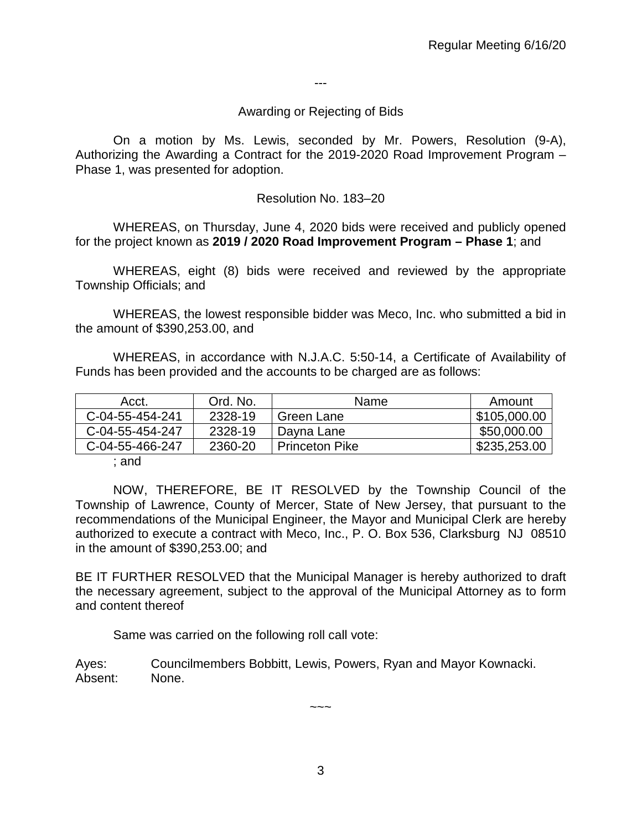---

#### Awarding or Rejecting of Bids

On a motion by Ms. Lewis, seconded by Mr. Powers, Resolution (9-A), Authorizing the Awarding a Contract for the 2019-2020 Road Improvement Program – Phase 1, was presented for adoption.

#### Resolution No. 183–20

WHEREAS, on Thursday, June 4, 2020 bids were received and publicly opened for the project known as **2019 / 2020 Road Improvement Program – Phase 1**; and

WHEREAS, eight (8) bids were received and reviewed by the appropriate Township Officials; and

WHEREAS, the lowest responsible bidder was Meco, Inc. who submitted a bid in the amount of \$390,253.00, and

WHEREAS, in accordance with N.J.A.C. 5:50-14, a Certificate of Availability of Funds has been provided and the accounts to be charged are as follows:

| Acct.           | Ord. No. | <b>Name</b>           | Amount       |
|-----------------|----------|-----------------------|--------------|
| C-04-55-454-241 | 2328-19  | Green Lane            | \$105,000.00 |
| C-04-55-454-247 | 2328-19  | Dayna Lane            | \$50,000.00  |
| C-04-55-466-247 | 2360-20  | <b>Princeton Pike</b> | \$235,253.00 |

; and

NOW, THEREFORE, BE IT RESOLVED by the Township Council of the Township of Lawrence, County of Mercer, State of New Jersey, that pursuant to the recommendations of the Municipal Engineer, the Mayor and Municipal Clerk are hereby authorized to execute a contract with Meco, Inc., P. O. Box 536, Clarksburg NJ 08510 in the amount of \$390,253.00; and

BE IT FURTHER RESOLVED that the Municipal Manager is hereby authorized to draft the necessary agreement, subject to the approval of the Municipal Attorney as to form and content thereof

Same was carried on the following roll call vote:

Ayes: Councilmembers Bobbitt, Lewis, Powers, Ryan and Mayor Kownacki. Absent: None.

 $\sim\sim\sim$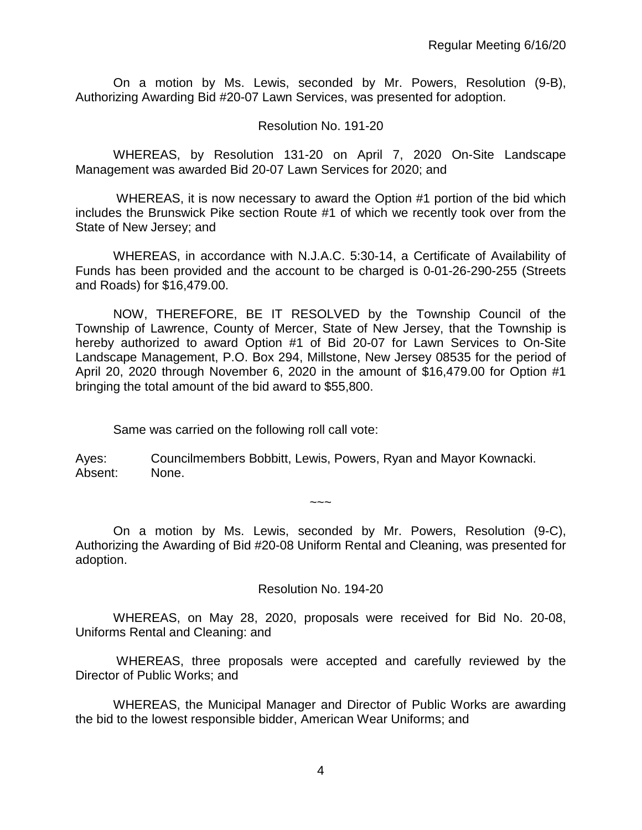On a motion by Ms. Lewis, seconded by Mr. Powers, Resolution (9-B), Authorizing Awarding Bid #20-07 Lawn Services, was presented for adoption.

#### Resolution No. 191-20

WHEREAS, by Resolution 131-20 on April 7, 2020 On-Site Landscape Management was awarded Bid 20-07 Lawn Services for 2020; and

WHEREAS, it is now necessary to award the Option #1 portion of the bid which includes the Brunswick Pike section Route #1 of which we recently took over from the State of New Jersey; and

WHEREAS, in accordance with N.J.A.C. 5:30-14, a Certificate of Availability of Funds has been provided and the account to be charged is 0-01-26-290-255 (Streets and Roads) for \$16,479.00.

NOW, THEREFORE, BE IT RESOLVED by the Township Council of the Township of Lawrence, County of Mercer, State of New Jersey, that the Township is hereby authorized to award Option #1 of Bid 20-07 for Lawn Services to On-Site Landscape Management, P.O. Box 294, Millstone, New Jersey 08535 for the period of April 20, 2020 through November 6, 2020 in the amount of \$16,479.00 for Option #1 bringing the total amount of the bid award to \$55,800.

Same was carried on the following roll call vote:

Ayes: Councilmembers Bobbitt, Lewis, Powers, Ryan and Mayor Kownacki. Absent: None.

On a motion by Ms. Lewis, seconded by Mr. Powers, Resolution (9-C), Authorizing the Awarding of Bid #20-08 Uniform Rental and Cleaning, was presented for adoption.

~~~

#### Resolution No. 194-20

WHEREAS, on May 28, 2020, proposals were received for Bid No. 20-08, Uniforms Rental and Cleaning: and

WHEREAS, three proposals were accepted and carefully reviewed by the Director of Public Works; and

WHEREAS, the Municipal Manager and Director of Public Works are awarding the bid to the lowest responsible bidder, American Wear Uniforms; and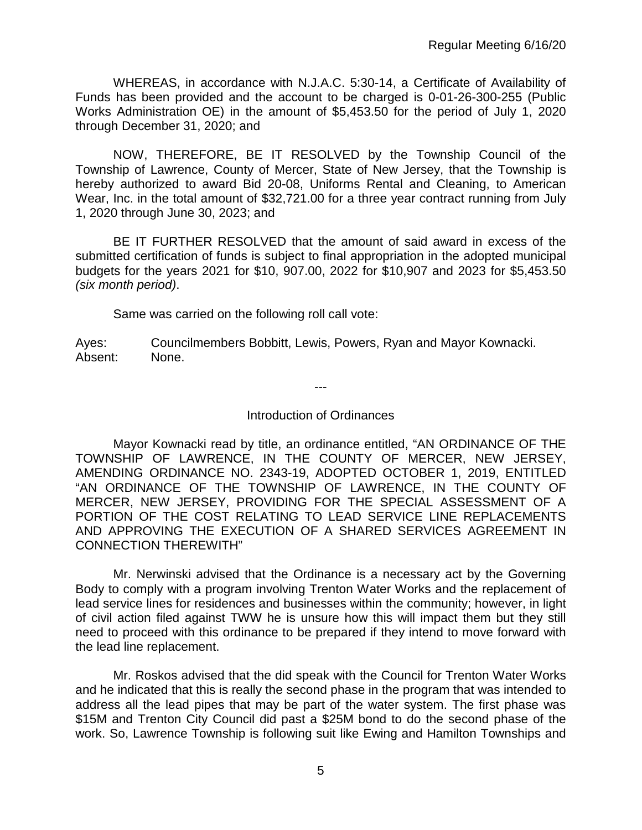WHEREAS, in accordance with N.J.A.C. 5:30-14, a Certificate of Availability of Funds has been provided and the account to be charged is 0-01-26-300-255 (Public Works Administration OE) in the amount of \$5,453.50 for the period of July 1, 2020 through December 31, 2020; and

NOW, THEREFORE, BE IT RESOLVED by the Township Council of the Township of Lawrence, County of Mercer, State of New Jersey, that the Township is hereby authorized to award Bid 20-08, Uniforms Rental and Cleaning, to American Wear, Inc. in the total amount of \$32,721.00 for a three year contract running from July 1, 2020 through June 30, 2023; and

BE IT FURTHER RESOLVED that the amount of said award in excess of the submitted certification of funds is subject to final appropriation in the adopted municipal budgets for the years 2021 for \$10, 907.00, 2022 for \$10,907 and 2023 for \$5,453.50 *(six month period)*.

Same was carried on the following roll call vote:

Ayes: Councilmembers Bobbitt, Lewis, Powers, Ryan and Mayor Kownacki. Absent: None.

---

#### Introduction of Ordinances

Mayor Kownacki read by title, an ordinance entitled, "AN ORDINANCE OF THE TOWNSHIP OF LAWRENCE, IN THE COUNTY OF MERCER, NEW JERSEY, AMENDING ORDINANCE NO. 2343-19, ADOPTED OCTOBER 1, 2019, ENTITLED "AN ORDINANCE OF THE TOWNSHIP OF LAWRENCE, IN THE COUNTY OF MERCER, NEW JERSEY, PROVIDING FOR THE SPECIAL ASSESSMENT OF A PORTION OF THE COST RELATING TO LEAD SERVICE LINE REPLACEMENTS AND APPROVING THE EXECUTION OF A SHARED SERVICES AGREEMENT IN CONNECTION THEREWITH"

Mr. Nerwinski advised that the Ordinance is a necessary act by the Governing Body to comply with a program involving Trenton Water Works and the replacement of lead service lines for residences and businesses within the community; however, in light of civil action filed against TWW he is unsure how this will impact them but they still need to proceed with this ordinance to be prepared if they intend to move forward with the lead line replacement.

Mr. Roskos advised that the did speak with the Council for Trenton Water Works and he indicated that this is really the second phase in the program that was intended to address all the lead pipes that may be part of the water system. The first phase was \$15M and Trenton City Council did past a \$25M bond to do the second phase of the work. So, Lawrence Township is following suit like Ewing and Hamilton Townships and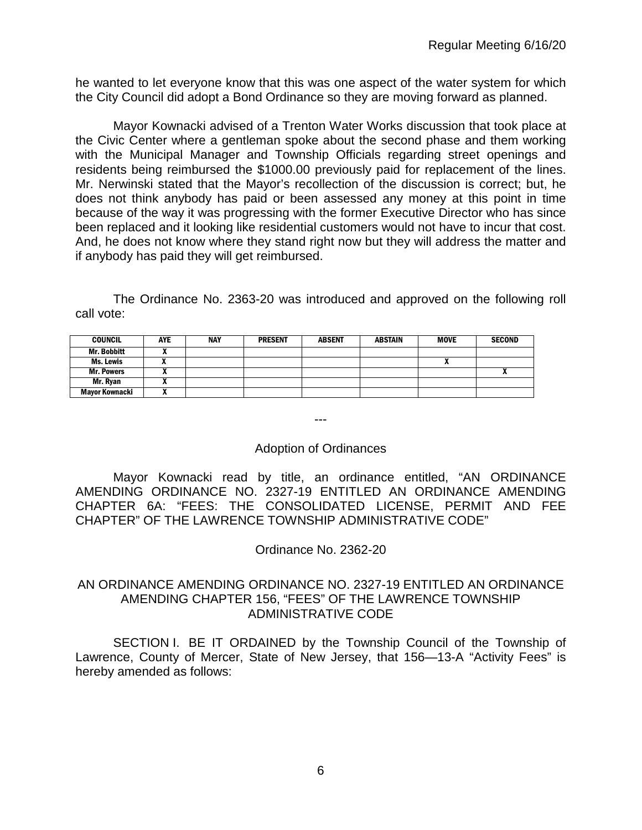he wanted to let everyone know that this was one aspect of the water system for which the City Council did adopt a Bond Ordinance so they are moving forward as planned.

Mayor Kownacki advised of a Trenton Water Works discussion that took place at the Civic Center where a gentleman spoke about the second phase and them working with the Municipal Manager and Township Officials regarding street openings and residents being reimbursed the \$1000.00 previously paid for replacement of the lines. Mr. Nerwinski stated that the Mayor's recollection of the discussion is correct; but, he does not think anybody has paid or been assessed any money at this point in time because of the way it was progressing with the former Executive Director who has since been replaced and it looking like residential customers would not have to incur that cost. And, he does not know where they stand right now but they will address the matter and if anybody has paid they will get reimbursed.

The Ordinance No. 2363-20 was introduced and approved on the following roll call vote:

| <b>COUNCIL</b>        | AYE | <b>NAY</b> | <b>PRESENT</b> | <b>ABSENT</b> | <b>ABSTAIN</b> | <b>MOVE</b> | <b>SECOND</b> |
|-----------------------|-----|------------|----------------|---------------|----------------|-------------|---------------|
| <b>Mr. Bobbitt</b>    |     |            |                |               |                |             |               |
| Ms. Lewis             |     |            |                |               |                |             |               |
| <b>Mr. Powers</b>     |     |            |                |               |                |             |               |
| Mr. Rvan              |     |            |                |               |                |             |               |
| <b>Mayor Kownacki</b> |     |            |                |               |                |             |               |

---

#### Adoption of Ordinances

Mayor Kownacki read by title, an ordinance entitled, "AN ORDINANCE AMENDING ORDINANCE NO. 2327-19 ENTITLED AN ORDINANCE AMENDING CHAPTER 6A: "FEES: THE CONSOLIDATED LICENSE, PERMIT AND FEE CHAPTER" OF THE LAWRENCE TOWNSHIP ADMINISTRATIVE CODE"

Ordinance No. 2362-20

#### AN ORDINANCE AMENDING ORDINANCE NO. 2327-19 ENTITLED AN ORDINANCE AMENDING CHAPTER 156, "FEES" OF THE LAWRENCE TOWNSHIP ADMINISTRATIVE CODE

SECTION I. BE IT ORDAINED by the Township Council of the Township of Lawrence, County of Mercer, State of New Jersey, that 156—13-A "Activity Fees" is hereby amended as follows: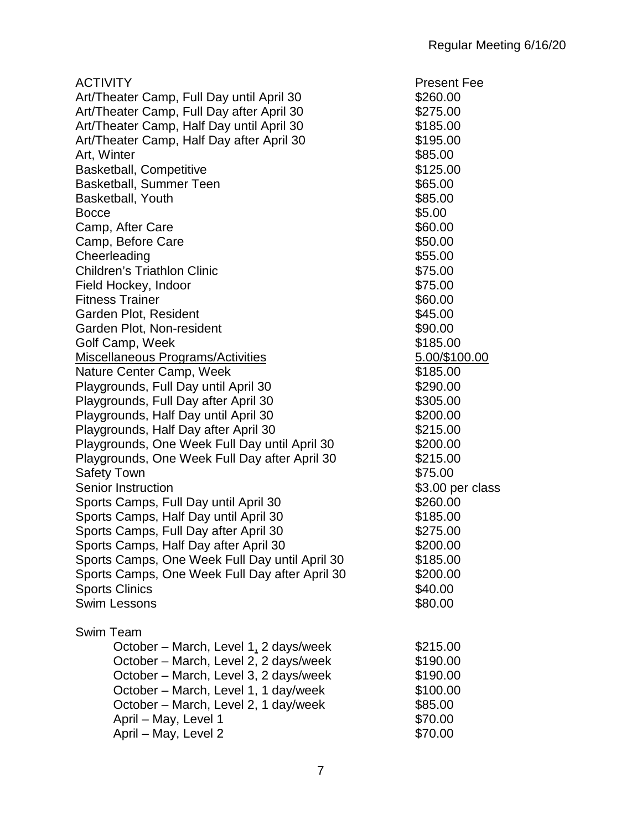| <b>ACTIVITY</b>                                | <b>Present Fee</b> |
|------------------------------------------------|--------------------|
| Art/Theater Camp, Full Day until April 30      | \$260.00           |
| Art/Theater Camp, Full Day after April 30      | \$275.00           |
| Art/Theater Camp, Half Day until April 30      | \$185.00           |
| Art/Theater Camp, Half Day after April 30      | \$195.00           |
| Art, Winter                                    | \$85.00            |
| <b>Basketball, Competitive</b>                 | \$125.00           |
| <b>Basketball, Summer Teen</b>                 | \$65.00            |
| <b>Basketball, Youth</b>                       | \$85.00            |
| <b>Bocce</b>                                   | \$5.00             |
| Camp, After Care                               | \$60.00            |
| Camp, Before Care                              | \$50.00            |
| Cheerleading                                   | \$55.00            |
| <b>Children's Triathlon Clinic</b>             | \$75.00            |
| Field Hockey, Indoor                           | \$75.00            |
| <b>Fitness Trainer</b>                         | \$60.00            |
| Garden Plot, Resident                          | \$45.00            |
| Garden Plot, Non-resident                      | \$90.00            |
| Golf Camp, Week                                | \$185.00           |
| Miscellaneous Programs/Activities              | 5.00/\$100.00      |
| Nature Center Camp, Week                       | \$185.00           |
|                                                | \$290.00           |
| Playgrounds, Full Day until April 30           |                    |
| Playgrounds, Full Day after April 30           | \$305.00           |
| Playgrounds, Half Day until April 30           | \$200.00           |
| Playgrounds, Half Day after April 30           | \$215.00           |
| Playgrounds, One Week Full Day until April 30  | \$200.00           |
| Playgrounds, One Week Full Day after April 30  | \$215.00           |
| <b>Safety Town</b>                             | \$75.00            |
| <b>Senior Instruction</b>                      | \$3.00 per class   |
| Sports Camps, Full Day until April 30          | \$260.00           |
| Sports Camps, Half Day until April 30          | \$185.00           |
| Sports Camps, Full Day after April 30          | \$275.00           |
| Sports Camps, Half Day after April 30          | \$200.00           |
| Sports Camps, One Week Full Day until April 30 | \$185.00           |
| Sports Camps, One Week Full Day after April 30 | \$200.00           |
| <b>Sports Clinics</b>                          | \$40.00            |
| <b>Swim Lessons</b>                            | \$80.00            |
| Swim Team                                      |                    |
| October - March, Level 1, 2 days/week          | \$215.00           |
| October – March, Level 2, 2 days/week          | \$190.00           |
| October – March, Level 3, 2 days/week          | \$190.00           |
| October – March, Level 1, 1 day/week           | \$100.00           |
| October - March, Level 2, 1 day/week           | \$85.00            |
|                                                |                    |
| April - May, Level 1                           | \$70.00            |
| April – May, Level 2                           | \$70.00            |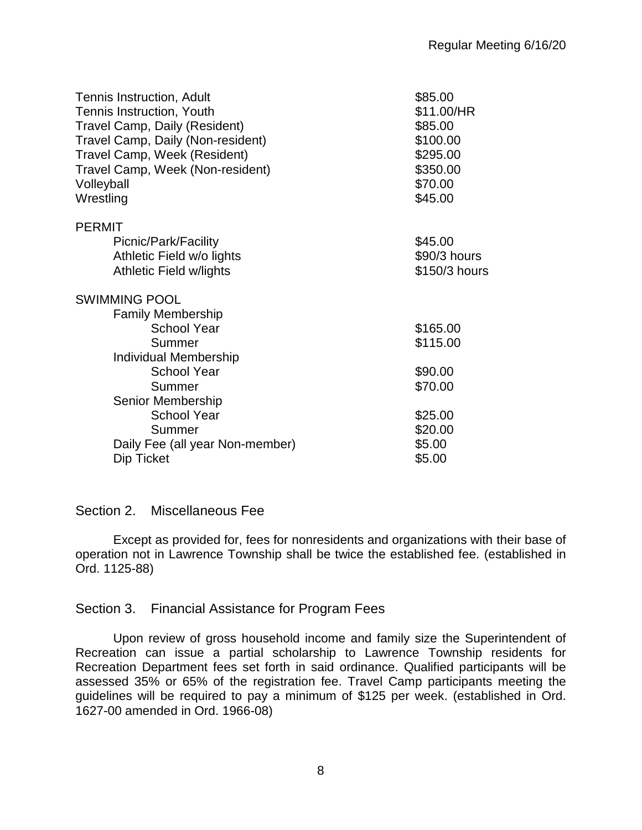| Tennis Instruction, Adult         | \$85.00       |
|-----------------------------------|---------------|
| Tennis Instruction, Youth         | \$11.00/HR    |
| Travel Camp, Daily (Resident)     | \$85.00       |
| Travel Camp, Daily (Non-resident) | \$100.00      |
| Travel Camp, Week (Resident)      | \$295.00      |
| Travel Camp, Week (Non-resident)  | \$350.00      |
| Volleyball                        | \$70.00       |
| Wrestling                         | \$45.00       |
| <b>PERMIT</b>                     |               |
| Picnic/Park/Facility              | \$45.00       |
| Athletic Field w/o lights         | \$90/3 hours  |
| <b>Athletic Field w/lights</b>    | \$150/3 hours |
| <b>SWIMMING POOL</b>              |               |
| <b>Family Membership</b>          |               |
| <b>School Year</b>                | \$165.00      |
| Summer                            | \$115.00      |
| <b>Individual Membership</b>      |               |
| <b>School Year</b>                | \$90.00       |
| Summer                            | \$70.00       |
| Senior Membership                 |               |
| <b>School Year</b>                | \$25.00       |
| Summer                            | \$20.00       |
| Daily Fee (all year Non-member)   | \$5.00        |
| Dip Ticket                        | \$5.00        |
|                                   |               |

## Section 2. Miscellaneous Fee

Except as provided for, fees for nonresidents and organizations with their base of operation not in Lawrence Township shall be twice the established fee. (established in Ord. 1125-88)

# Section 3. Financial Assistance for Program Fees

Upon review of gross household income and family size the Superintendent of Recreation can issue a partial scholarship to Lawrence Township residents for Recreation Department fees set forth in said ordinance. Qualified participants will be assessed 35% or 65% of the registration fee. Travel Camp participants meeting the guidelines will be required to pay a minimum of \$125 per week. (established in Ord. 1627-00 amended in Ord. 1966-08)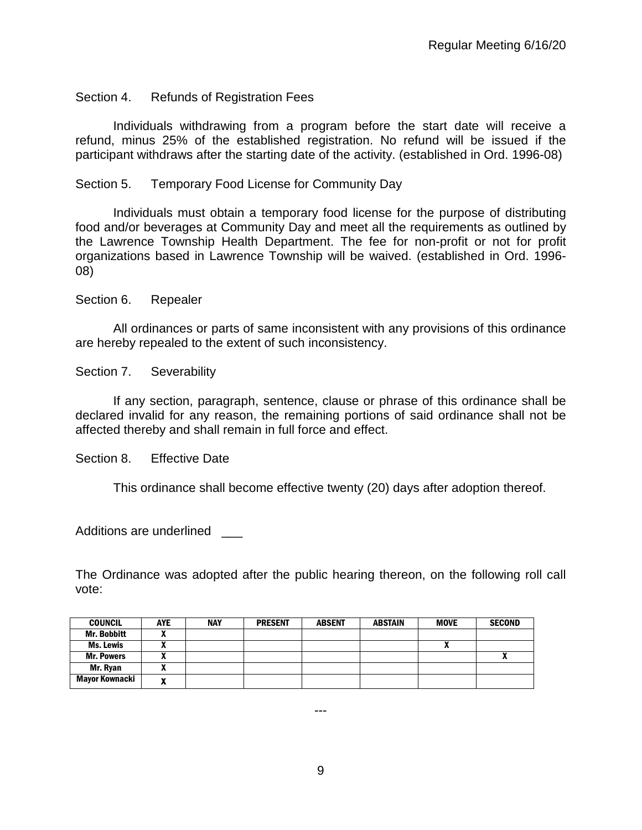## Section 4. Refunds of Registration Fees

Individuals withdrawing from a program before the start date will receive a refund, minus 25% of the established registration. No refund will be issued if the participant withdraws after the starting date of the activity. (established in Ord. 1996-08)

## Section 5. Temporary Food License for Community Day

Individuals must obtain a temporary food license for the purpose of distributing food and/or beverages at Community Day and meet all the requirements as outlined by the Lawrence Township Health Department. The fee for non-profit or not for profit organizations based in Lawrence Township will be waived. (established in Ord. 1996- 08)

Section 6. Repealer

All ordinances or parts of same inconsistent with any provisions of this ordinance are hereby repealed to the extent of such inconsistency.

Section 7. Severability

If any section, paragraph, sentence, clause or phrase of this ordinance shall be declared invalid for any reason, the remaining portions of said ordinance shall not be affected thereby and shall remain in full force and effect.

Section 8. Effective Date

This ordinance shall become effective twenty (20) days after adoption thereof.

Additions are underlined

The Ordinance was adopted after the public hearing thereon, on the following roll call vote:

| <b>COUNCIL</b>        | <b>AYE</b> | <b>NAY</b> | <b>PRESENT</b> | <b>ABSENT</b> | ABSTAIN | <b>MOVE</b> | <b>SECOND</b> |
|-----------------------|------------|------------|----------------|---------------|---------|-------------|---------------|
| Mr. Bobbitt           | ~          |            |                |               |         |             |               |
| Ms. Lewis             |            |            |                |               |         | Λ           |               |
| <b>Mr. Powers</b>     | ~          |            |                |               |         |             | $\mathbf{v}$  |
| Mr. Ryan              | ~          |            |                |               |         |             |               |
| <b>Mayor Kownacki</b> | ~          |            |                |               |         |             |               |

---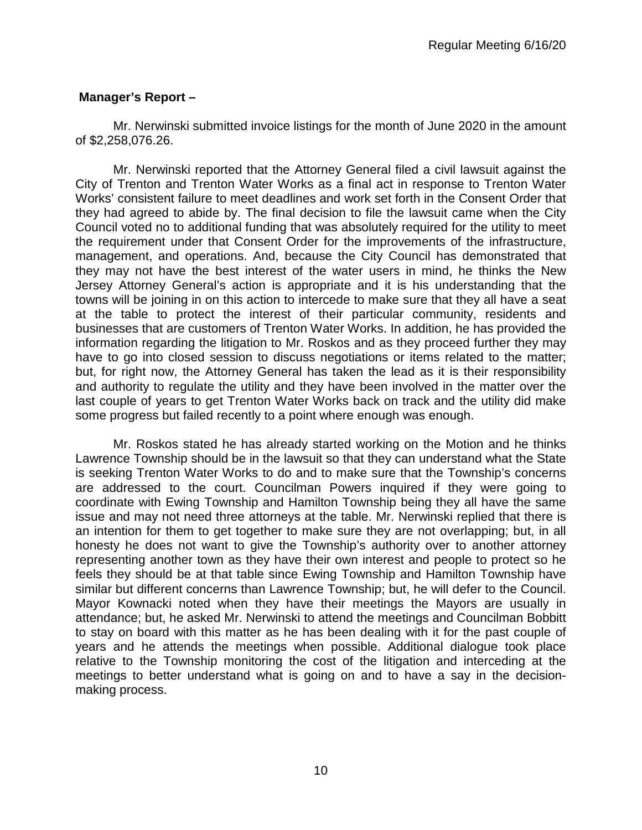# **Manager's Report –**

Mr. Nerwinski submitted invoice listings for the month of June 2020 in the amount of \$2,258,076.26.

Mr. Nerwinski reported that the Attorney General filed a civil lawsuit against the City of Trenton and Trenton Water Works as a final act in response to Trenton Water Works' consistent failure to meet deadlines and work set forth in the Consent Order that they had agreed to abide by. The final decision to file the lawsuit came when the City Council voted no to additional funding that was absolutely required for the utility to meet the requirement under that Consent Order for the improvements of the infrastructure, management, and operations. And, because the City Council has demonstrated that they may not have the best interest of the water users in mind, he thinks the New Jersey Attorney General's action is appropriate and it is his understanding that the towns will be joining in on this action to intercede to make sure that they all have a seat at the table to protect the interest of their particular community, residents and businesses that are customers of Trenton Water Works. In addition, he has provided the information regarding the litigation to Mr. Roskos and as they proceed further they may have to go into closed session to discuss negotiations or items related to the matter; but, for right now, the Attorney General has taken the lead as it is their responsibility and authority to regulate the utility and they have been involved in the matter over the last couple of years to get Trenton Water Works back on track and the utility did make some progress but failed recently to a point where enough was enough.

Mr. Roskos stated he has already started working on the Motion and he thinks Lawrence Township should be in the lawsuit so that they can understand what the State is seeking Trenton Water Works to do and to make sure that the Township's concerns are addressed to the court. Councilman Powers inquired if they were going to coordinate with Ewing Township and Hamilton Township being they all have the same issue and may not need three attorneys at the table. Mr. Nerwinski replied that there is an intention for them to get together to make sure they are not overlapping; but, in all honesty he does not want to give the Township's authority over to another attorney representing another town as they have their own interest and people to protect so he feels they should be at that table since Ewing Township and Hamilton Township have similar but different concerns than Lawrence Township; but, he will defer to the Council. Mayor Kownacki noted when they have their meetings the Mayors are usually in attendance; but, he asked Mr. Nerwinski to attend the meetings and Councilman Bobbitt to stay on board with this matter as he has been dealing with it for the past couple of years and he attends the meetings when possible. Additional dialogue took place relative to the Township monitoring the cost of the litigation and interceding at the meetings to better understand what is going on and to have a say in the decisionmaking process.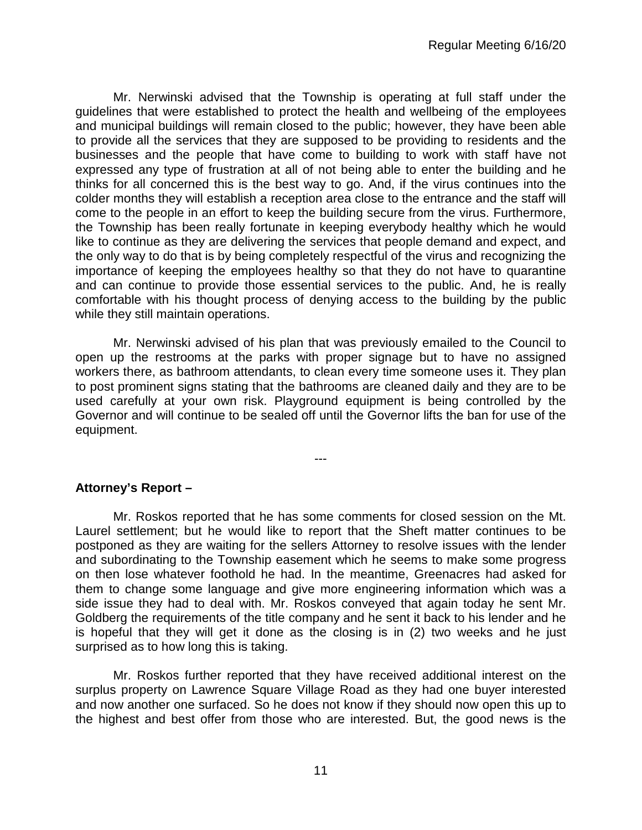Mr. Nerwinski advised that the Township is operating at full staff under the guidelines that were established to protect the health and wellbeing of the employees and municipal buildings will remain closed to the public; however, they have been able to provide all the services that they are supposed to be providing to residents and the businesses and the people that have come to building to work with staff have not expressed any type of frustration at all of not being able to enter the building and he thinks for all concerned this is the best way to go. And, if the virus continues into the colder months they will establish a reception area close to the entrance and the staff will come to the people in an effort to keep the building secure from the virus. Furthermore, the Township has been really fortunate in keeping everybody healthy which he would like to continue as they are delivering the services that people demand and expect, and the only way to do that is by being completely respectful of the virus and recognizing the importance of keeping the employees healthy so that they do not have to quarantine and can continue to provide those essential services to the public. And, he is really comfortable with his thought process of denying access to the building by the public while they still maintain operations.

Mr. Nerwinski advised of his plan that was previously emailed to the Council to open up the restrooms at the parks with proper signage but to have no assigned workers there, as bathroom attendants, to clean every time someone uses it. They plan to post prominent signs stating that the bathrooms are cleaned daily and they are to be used carefully at your own risk. Playground equipment is being controlled by the Governor and will continue to be sealed off until the Governor lifts the ban for use of the equipment.

---

## **Attorney's Report –**

Mr. Roskos reported that he has some comments for closed session on the Mt. Laurel settlement; but he would like to report that the Sheft matter continues to be postponed as they are waiting for the sellers Attorney to resolve issues with the lender and subordinating to the Township easement which he seems to make some progress on then lose whatever foothold he had. In the meantime, Greenacres had asked for them to change some language and give more engineering information which was a side issue they had to deal with. Mr. Roskos conveyed that again today he sent Mr. Goldberg the requirements of the title company and he sent it back to his lender and he is hopeful that they will get it done as the closing is in (2) two weeks and he just surprised as to how long this is taking.

Mr. Roskos further reported that they have received additional interest on the surplus property on Lawrence Square Village Road as they had one buyer interested and now another one surfaced. So he does not know if they should now open this up to the highest and best offer from those who are interested. But, the good news is the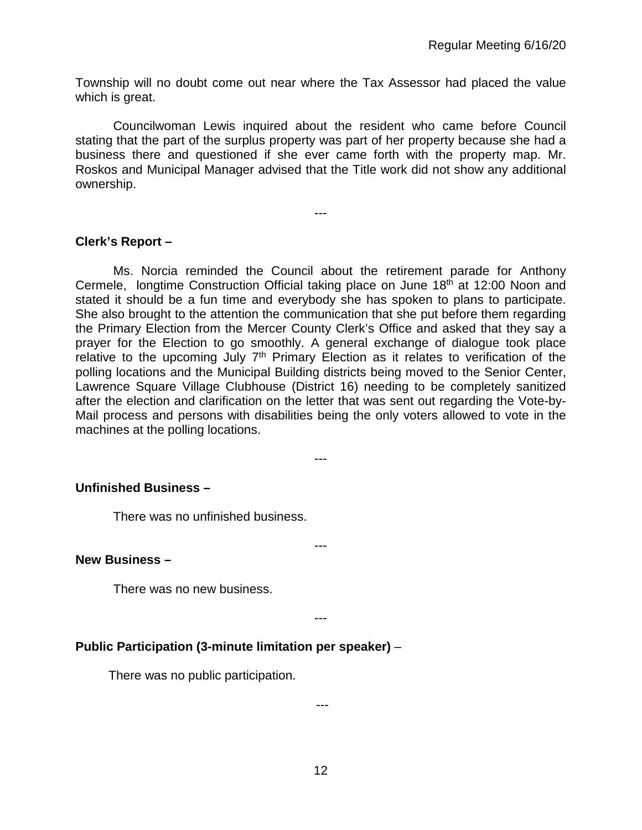Township will no doubt come out near where the Tax Assessor had placed the value which is great.

Councilwoman Lewis inquired about the resident who came before Council stating that the part of the surplus property was part of her property because she had a business there and questioned if she ever came forth with the property map. Mr. Roskos and Municipal Manager advised that the Title work did not show any additional ownership.

---

## **Clerk's Report –**

Ms. Norcia reminded the Council about the retirement parade for Anthony Cermele, longtime Construction Official taking place on June 18<sup>th</sup> at 12:00 Noon and stated it should be a fun time and everybody she has spoken to plans to participate. She also brought to the attention the communication that she put before them regarding the Primary Election from the Mercer County Clerk's Office and asked that they say a prayer for the Election to go smoothly. A general exchange of dialogue took place relative to the upcoming July  $7<sup>th</sup>$  Primary Election as it relates to verification of the polling locations and the Municipal Building districts being moved to the Senior Center, Lawrence Square Village Clubhouse (District 16) needing to be completely sanitized after the election and clarification on the letter that was sent out regarding the Vote-by-Mail process and persons with disabilities being the only voters allowed to vote in the machines at the polling locations.

---

## **Unfinished Business –**

There was no unfinished business.

#### **New Business –**

There was no new business.

---

---

# **Public Participation (3-minute limitation per speaker)** –

There was no public participation.

---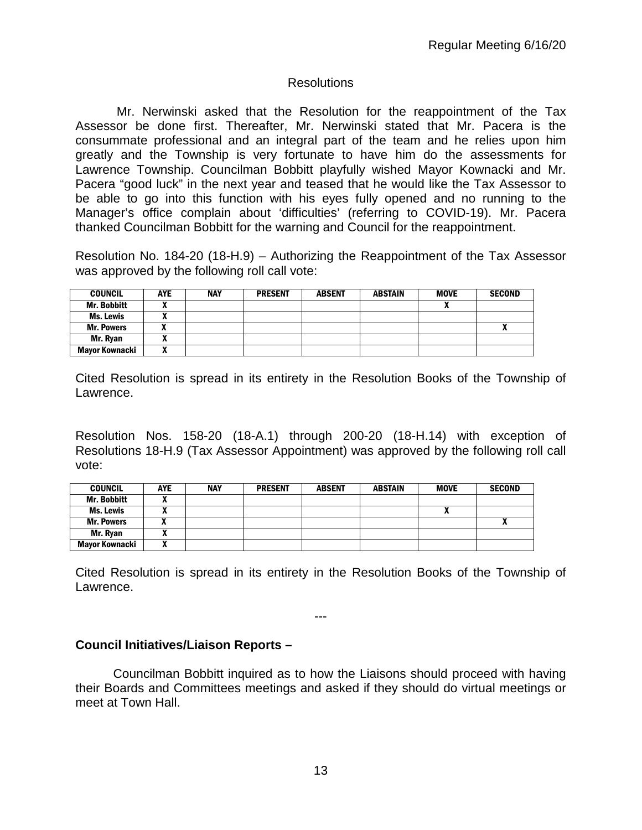## **Resolutions**

Mr. Nerwinski asked that the Resolution for the reappointment of the Tax Assessor be done first. Thereafter, Mr. Nerwinski stated that Mr. Pacera is the consummate professional and an integral part of the team and he relies upon him greatly and the Township is very fortunate to have him do the assessments for Lawrence Township. Councilman Bobbitt playfully wished Mayor Kownacki and Mr. Pacera "good luck" in the next year and teased that he would like the Tax Assessor to be able to go into this function with his eyes fully opened and no running to the Manager's office complain about 'difficulties' (referring to COVID-19). Mr. Pacera thanked Councilman Bobbitt for the warning and Council for the reappointment.

Resolution No. 184-20 (18-H.9) – Authorizing the Reappointment of the Tax Assessor was approved by the following roll call vote:

| <b>COUNCIL</b>     | <b>AYE</b> | <b>NAY</b> | <b>PRESENT</b> | <b>ABSENT</b> | <b>ABSTAIN</b> | <b>MOVE</b> | <b>SECOND</b> |
|--------------------|------------|------------|----------------|---------------|----------------|-------------|---------------|
| <b>Mr. Bobbitt</b> |            |            |                |               |                |             |               |
| <b>Ms. Lewis</b>   |            |            |                |               |                |             |               |
| <b>Mr. Powers</b>  |            |            |                |               |                |             | v             |
| Mr. Ryan           |            |            |                |               |                |             |               |
| Mayor Kownacki     |            |            |                |               |                |             |               |

Cited Resolution is spread in its entirety in the Resolution Books of the Township of Lawrence.

Resolution Nos. 158-20 (18-A.1) through 200-20 (18-H.14) with exception of Resolutions 18-H.9 (Tax Assessor Appointment) was approved by the following roll call vote:

| <b>COUNCIL</b>     | AYE | <b>NAY</b> | <b>PRESENT</b> | <b>ABSENT</b> | <b>ABSTAIN</b> | <b>MOVE</b>  | <b>SECOND</b> |
|--------------------|-----|------------|----------------|---------------|----------------|--------------|---------------|
| <b>Mr. Bobbitt</b> |     |            |                |               |                |              |               |
| <b>Ms. Lewis</b>   |     |            |                |               |                | $\mathbf{v}$ |               |
| <b>Mr. Powers</b>  |     |            |                |               |                |              |               |
| Mr. Ryan           |     |            |                |               |                |              |               |
| Mayor Kownacki     |     |            |                |               |                |              |               |

Cited Resolution is spread in its entirety in the Resolution Books of the Township of Lawrence.

---

## **Council Initiatives/Liaison Reports –**

Councilman Bobbitt inquired as to how the Liaisons should proceed with having their Boards and Committees meetings and asked if they should do virtual meetings or meet at Town Hall.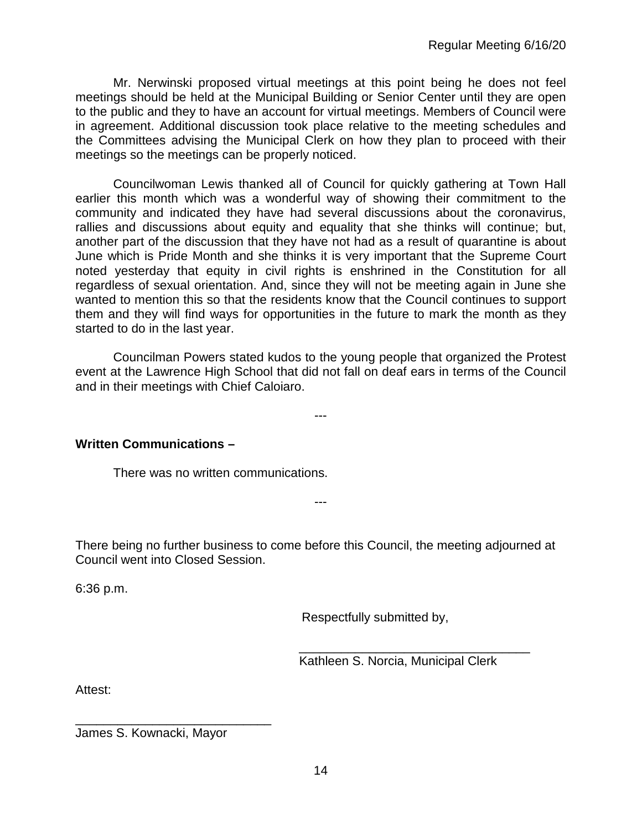Mr. Nerwinski proposed virtual meetings at this point being he does not feel meetings should be held at the Municipal Building or Senior Center until they are open to the public and they to have an account for virtual meetings. Members of Council were in agreement. Additional discussion took place relative to the meeting schedules and the Committees advising the Municipal Clerk on how they plan to proceed with their meetings so the meetings can be properly noticed.

Councilwoman Lewis thanked all of Council for quickly gathering at Town Hall earlier this month which was a wonderful way of showing their commitment to the community and indicated they have had several discussions about the coronavirus, rallies and discussions about equity and equality that she thinks will continue; but, another part of the discussion that they have not had as a result of quarantine is about June which is Pride Month and she thinks it is very important that the Supreme Court noted yesterday that equity in civil rights is enshrined in the Constitution for all regardless of sexual orientation. And, since they will not be meeting again in June she wanted to mention this so that the residents know that the Council continues to support them and they will find ways for opportunities in the future to mark the month as they started to do in the last year.

Councilman Powers stated kudos to the young people that organized the Protest event at the Lawrence High School that did not fall on deaf ears in terms of the Council and in their meetings with Chief Caloiaro.

---

## **Written Communications –**

There was no written communications.

There being no further business to come before this Council, the meeting adjourned at Council went into Closed Session.

---

6:36 p.m.

Respectfully submitted by,

 \_\_\_\_\_\_\_\_\_\_\_\_\_\_\_\_\_\_\_\_\_\_\_\_\_\_\_\_\_\_\_\_\_ Kathleen S. Norcia, Municipal Clerk

Attest:

James S. Kownacki, Mayor

\_\_\_\_\_\_\_\_\_\_\_\_\_\_\_\_\_\_\_\_\_\_\_\_\_\_\_\_